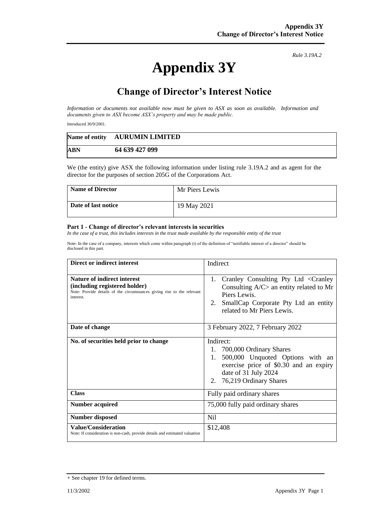## **Appendix 3Y**

*Rule 3.19A.2*

## **Change of Director's Interest Notice**

*Information or documents not available now must be given to ASX as soon as available. Information and documents given to ASX become ASX's property and may be made public.*

Introduced 30/9/2001.

|            | Name of entity AURUMIN LIMITED |
|------------|--------------------------------|
| <b>ABN</b> | 64 639 427 099                 |

We (the entity) give ASX the following information under listing rule 3.19A.2 and as agent for the director for the purposes of section 205G of the Corporations Act.

| <b>Name of Director</b> | Mr Piers Lewis |
|-------------------------|----------------|
| Date of last notice     | 19 May 2021    |

## **Part 1 - Change of director's relevant interests in securities**

*In the case of a trust, this includes interests in the trust made available by the responsible entity of the trust*

Note: In the case of a company, interests which come within paragraph (i) of the definition of "notifiable interest of a director" should be disclosed in this part.

| Direct or indirect interest                                                                                                                         | Indirect                                                                                                                                                                           |  |
|-----------------------------------------------------------------------------------------------------------------------------------------------------|------------------------------------------------------------------------------------------------------------------------------------------------------------------------------------|--|
| Nature of indirect interest<br>(including registered holder)<br>Note: Provide details of the circumstances giving rise to the relevant<br>interest. | Cranley Consulting Pty Ltd < Cranley<br>1.<br>Consulting $A/C$ an entity related to Mr<br>Piers Lewis.<br>SmallCap Corporate Pty Ltd an entity<br>2.<br>related to Mr Piers Lewis. |  |
| Date of change                                                                                                                                      | 3 February 2022, 7 February 2022                                                                                                                                                   |  |
| No. of securities held prior to change                                                                                                              | Indirect:<br>1. 700,000 Ordinary Shares<br>500,000 Unquoted Options with an<br>1.<br>exercise price of \$0.30 and an expiry<br>date of 31 July 2024<br>2. 76,219 Ordinary Shares   |  |
| <b>Class</b>                                                                                                                                        | Fully paid ordinary shares                                                                                                                                                         |  |
| <b>Number acquired</b>                                                                                                                              | 75,000 fully paid ordinary shares                                                                                                                                                  |  |
| <b>Number disposed</b>                                                                                                                              | Nil                                                                                                                                                                                |  |
| <b>Value/Consideration</b><br>Note: If consideration is non-cash, provide details and estimated valuation                                           | \$12,408                                                                                                                                                                           |  |

<sup>+</sup> See chapter 19 for defined terms.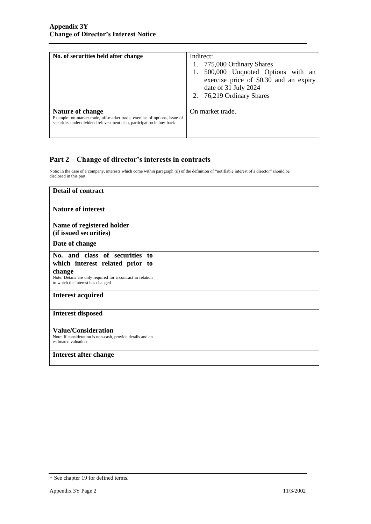| No. of securities held after change                                                                                                                                            | Indirect:<br>1. 775,000 Ordinary Shares<br>500,000 Unquoted Options with an<br>exercise price of \$0.30 and an expiry<br>date of 31 July 2024<br>2. 76,219 Ordinary Shares |
|--------------------------------------------------------------------------------------------------------------------------------------------------------------------------------|----------------------------------------------------------------------------------------------------------------------------------------------------------------------------|
| <b>Nature of change</b><br>Example: on-market trade, off-market trade, exercise of options, issue of<br>securities under dividend reinvestment plan, participation in buy-back | On market trade.                                                                                                                                                           |

## **Part 2 – Change of director's interests in contracts**

Note: In the case of a company, interests which come within paragraph (ii) of the definition of "notifiable interest of a director" should be disclosed in this part.

| <b>Detail of contract</b>                                                                                                                                                      |  |
|--------------------------------------------------------------------------------------------------------------------------------------------------------------------------------|--|
| <b>Nature of interest</b>                                                                                                                                                      |  |
| Name of registered holder<br>(if issued securities)                                                                                                                            |  |
| Date of change                                                                                                                                                                 |  |
| No. and class of securities to<br>which interest related prior to<br>change<br>Note: Details are only required for a contract in relation<br>to which the interest has changed |  |
| <b>Interest acquired</b>                                                                                                                                                       |  |
| <b>Interest disposed</b>                                                                                                                                                       |  |
| <b>Value/Consideration</b><br>Note: If consideration is non-cash, provide details and an<br>estimated valuation                                                                |  |
| Interest after change                                                                                                                                                          |  |

<sup>+</sup> See chapter 19 for defined terms.